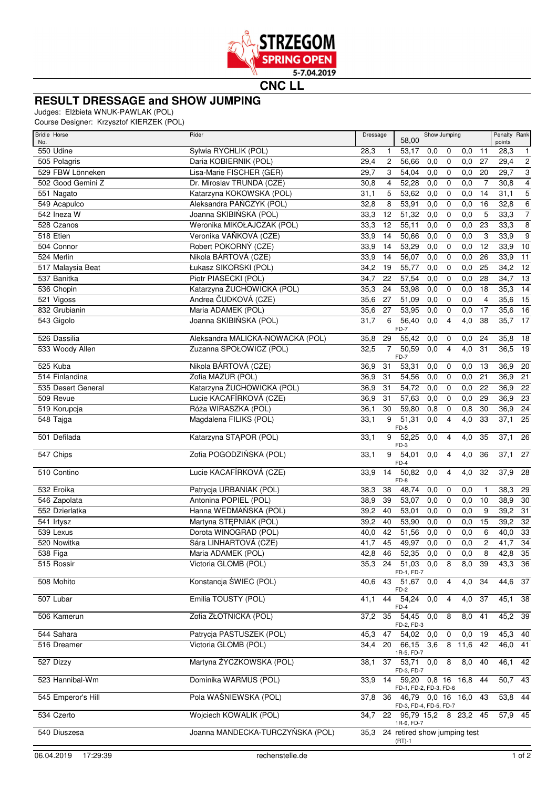

**CNC LL**

## **RESULT DRESSAGE and SHOW JUMPING**

Judges: Elżbieta WNUK-PAWLAK (POL)

Course Designer: Krzysztof KIERZEK (POL)

| <b>Bridle Horse</b><br>No. | Rider                                            | Dressage                 | 58,00                                                  | Show Jumping                    |                  |                     | Penalty Rank<br>points |                       |
|----------------------------|--------------------------------------------------|--------------------------|--------------------------------------------------------|---------------------------------|------------------|---------------------|------------------------|-----------------------|
| 550 Udine                  | Sylwia RYCHLIK (POL)                             | 28,3<br>$\mathbf{1}$     | 53,17                                                  | 0,0<br>0                        | 0,0              | 11                  | 28,3                   | $\mathbf{1}$          |
| 505 Polagris               | Daria KOBIERNIK (POL)                            | 29,4<br>$\overline{c}$   | 56,66                                                  | 0,0<br>0                        | 0,0              | 27                  | 29,4                   | $\overline{2}$        |
| 529 FBW Lönneken           | Lisa-Marie FISCHER (GER)                         | 29,7<br>3                | 54,04                                                  | 0,0<br>0                        | 0,0              | 20                  | 29,7                   | $\,3$                 |
| 502 Good Gemini Z          | Dr. Miroslav TRUNDA (CZE)                        | 30,8<br>4                | 52,28                                                  | 0,0<br>$\mathbf 0$              | 0,0              | $\overline{7}$      | 30,8                   | $\overline{4}$        |
| 551 Nagato                 | Katarzyna KOKOWSKA (POL)                         | 31,1<br>5                | 53,62                                                  | 0,0<br>0                        | 0,0              | 14                  | 31,1                   | $\overline{5}$        |
| 549 Acapulco               | Aleksandra PAŃCZYK (POL)                         | 8<br>32,8                | 53,91                                                  | 0,0<br>$\mathbf 0$              | 0,0              | 16                  | 32,8                   | $\overline{6}$        |
| 542 Ineza W                | Joanna SKIBIŃSKA (POL)                           | 33,3<br>12               | 51,32                                                  | 0,0<br>0                        | 0,0              | 5                   | 33,3                   | $\overline{7}$        |
| 528 Czanos                 | Weronika MIKOŁAJCZAK (POL)                       | 33,3<br>12               | 55,11                                                  | 0,0<br>0                        | 0,0              | 23                  | 33,3                   | 8                     |
| 518 Etien                  | Veronika VAŇKOVÁ (CZE)                           | 33,9<br>14               | 50,66                                                  | 0,0<br>$\mathbf 0$              | 0,0              | 3                   | 33,9                   | $\overline{9}$        |
| 504 Connor                 | Robert POKORNÝ (CZE)                             | 33,9<br>14               | 53,29                                                  | 0,0<br>0                        | 0,0              | $\overline{12}$     | 33,9                   | 10                    |
| 524 Merlin                 | Nikola BÁRTOVÁ (CZE)                             | 33,9<br>14               | 56,07                                                  | 0,0<br>0                        | 0,0              | 26                  | 33,9                   | $\overline{11}$       |
| 517 Malaysia Beat          | Łukasz SIKORSKI (POL)                            | 34,2<br>19               | 55,77                                                  | 0,0<br>0                        | 0,0              | 25                  | 34,2                   | $\overline{12}$       |
| 537 Banitka                | Piotr PIASECKI (POL)                             | 34,7<br>22               | 57,54                                                  | 0,0<br>$\mathbf 0$              | 0,0              | 28                  | 34,7                   | $\overline{13}$       |
| 536 Chopin                 | Katarzyna ŻUCHOWICKA (POL)                       | 35,3<br>24               | 53,98                                                  | 0,0<br>0                        | 0,0              | $\overline{18}$     | 35,3                   | $\overline{14}$       |
| 521 Vigoss                 | Andrea ČUDKOVÁ (CZE)                             | 35,6<br>27               | 51,09                                                  | 0,0<br>0                        | 0,0              | 4                   | 35,6                   | $\overline{15}$       |
| 832 Grubianin              | Maria ADAMEK (POL)                               | 35,6<br>27               | 53,95                                                  | 0,0<br>0                        | 0,0              | 17                  | 35,6                   | $\overline{16}$       |
| 543 Gigolo                 | Joanna SKIBIŃSKA (POL)                           | 6<br>31,7                | 56,40<br>$FD-7$                                        | 0,0<br>$\overline{4}$           | 4,0              | 38                  | 35,7                   | $\overline{17}$       |
| 526 Dassilia               | Aleksandra MALICKA-NOWACKA (POL)                 | 35,8<br>29               | 55,42                                                  | 0,0<br>0                        | 0,0              | 24                  | 35,8                   | 18                    |
| 533 Woody Allen            | Zuzanna SPOŁOWICZ (POL)                          | $\overline{7}$<br>32,5   | 50,59<br>$FD-7$                                        | 0,0<br>4                        | 4,0              | 31                  | 36,5                   | 19                    |
| 525 Kuba                   | Nikola BÁRTOVÁ (CZE)                             | 36,9<br>31               | 53,31                                                  | 0,0<br>0                        | 0,0              | 13                  | 36,9                   | 20                    |
| 514 Finlandina             | Zofia MAZUR (POL)                                | 36,9<br>31               | 54,56                                                  | 0,0<br>0                        | 0,0              | 21                  | 36,9                   | 21                    |
| 535 Desert General         | Katarzyna ŻUCHOWICKA (POL)                       | 31<br>36,9               | 54,72                                                  | 0,0<br>$\mathbf 0$              | 0,0              | 22                  | 36,9                   | $\overline{22}$       |
| 509 Revue                  | Lucie KACAFÍRKOVÁ (CZE)                          | 36,9<br>31               | 57,63                                                  | 0,0<br>$\mathbf 0$              | 0,0              | 29                  | 36,9                   | $\overline{23}$       |
| 519 Korupcja               | Róża WIRASZKA (POL)                              | 30<br>36,1               | 59,80                                                  | 0,8<br>$\mathbf 0$              | 0,8              | 30                  | 36,9                   | $\overline{24}$       |
| 548 Tajga                  | Magdalena FILIKS (POL)                           | 9<br>33,1                | 51,31                                                  | $\overline{4}$<br>0,0           | 4,0              | 33                  | 37,1                   | $\overline{25}$       |
| 501 Defilada               | Katarzyna STĄPOR (POL)                           | 33,1<br>9                | FD-5<br>52,25                                          | 0,0<br>$\overline{4}$           | 4,0              | 35                  | 37,1                   | $\overline{26}$       |
| 547 Chips                  | Zofia POGODZIŃSKA (POL)                          | 9<br>33,1                | $FD-3$<br>54,01                                        | 0,0<br>$\overline{4}$           | 4,0              | 36                  | 37,1                   | 27                    |
| 510 Contino                | Lucie KACAFÍRKOVÁ (CZE)                          | 14<br>33,9               | $FD-4$<br>50,82                                        | 0,0<br>$\overline{4}$           | 4,0              | 32                  | $37,9$ 28              |                       |
|                            |                                                  |                          | FD-8                                                   |                                 |                  |                     |                        |                       |
| 532 Eroika                 | Patrycja URBANIAK (POL)<br>Antonina POPIEL (POL) | 38,3<br>38               | 48,74                                                  | 0,0<br>0                        | 0,0              | 1                   | 38,3                   | 29                    |
| 546 Zapolata               | Hanna WEDMAŃSKA (POL)                            | 38,9<br>39               | 53,07                                                  | 0,0<br>0                        | 0,0              | 10                  | 38,9                   | 30                    |
| 552 Dzierlatka             |                                                  | 39,2<br>40               | 53,01                                                  | 0,0<br>$\mathbf 0$              | 0,0              | 9                   | 39,2                   | 31                    |
| 541 Irtysz<br>539 Lexus    | Martyna STEPNIAK (POL)                           | 39,2<br>40               | 53,90                                                  | 0,0<br>0                        | 0,0              | 15                  | 39,2                   | 32<br>$\overline{33}$ |
| 520 Nowitka                | Dorota WINOGRAD (POL)<br>Sára LINHARTOVÁ (CZE)   | 40,0<br>42<br>45<br>41,7 | 51,56<br>49,97                                         | 0,0<br>0<br>$\mathbf 0$         | 0,0<br>0,0       | 6<br>$\overline{c}$ | 40,0<br>41,7           | 34                    |
| $538$ Figa                 | Maria ADAMEK (POL)                               |                          |                                                        | 0,0                             |                  |                     | 42,8 35                |                       |
| 515 Rossir                 | Victoria GLOMB (POL)                             | 42,846<br>24<br>35,3     | 52,35<br>51,03                                         | 0,0<br>$\mathbf{0}$<br>0,0<br>8 | 0,0<br>8,0       | 8<br>39             | 43,3                   | 36                    |
|                            |                                                  |                          | FD-1, FD-7                                             |                                 |                  |                     |                        |                       |
| 508 Mohito                 | Konstancja ŚWIEC (POL)                           | 40,6                     | 43 51,67<br>FD-2                                       | 0,0<br>4                        | 4,0              | 34                  | 44,6 37                |                       |
| 507 Lubar                  | Emilia TOUSTY (POL)                              | 44<br>41,1               | 54,24<br>FD-4                                          | 0,0<br>4                        | 4,0              | 37                  | 45,1                   | 38                    |
| 506 Kamerun                | Zofia ZŁOTNICKA (POL)                            | 37,2<br>35               | 54,45<br>FD-2, FD-3                                    | 0,0<br>8                        | $\overline{8,0}$ | 41                  | $45,2$ 39              |                       |
| 544 Sahara                 | Patrycja PASTUSZEK (POL)                         | 47<br>45,3               | 54,02                                                  | 0,0<br>$\pmb{0}$                | 0,0              | 19                  | 45,3                   | 40                    |
| 516 Dreamer                | Victoria GLOMB (POL)                             | 20<br>34.4               | 66,15<br>1R-5, FD-7                                    | 3,6                             | 8 11,6           | 42                  | 46,0 41                |                       |
| 527 Dizzy                  | Martyna ŻYCZKOWSKA (POL)                         | 37<br>38,1               | 53,71<br>FD-3, FD-7                                    | 0,0<br>8                        | 8,0              | 40                  | 46,1                   | 42                    |
| 523 Hannibal-Wm            | Dominika WARMUS (POL)                            | 14<br>33,9               | 59,20<br>FD-1, FD-2, FD-3, FD-6                        |                                 | $0,8$ 16 16,8    | 44                  | $50,7$ 43              |                       |
| 545 Emperor's Hill         | Pola WAŚNIEWSKA (POL)                            | 37,8<br>36               | 46,79  0.0  16  16.0                                   |                                 |                  | 43                  | $53,8$ 44              |                       |
| 534 Czerto                 | Wojciech KOWALIK (POL)                           | 34,7                     | FD-3, FD-4, FD-5, FD-7<br>22 95,79 15,2 8 23,2 45      |                                 |                  |                     | $57,9$ 45              |                       |
| 540 Diuszesa               | Joanna MANDECKA-TURCZYŃSKA (POL)                 | 35,3                     | 1R-6, FD-7<br>24 retired show jumping test<br>$(RT)-1$ |                                 |                  |                     |                        |                       |
|                            |                                                  |                          |                                                        |                                 |                  |                     |                        |                       |